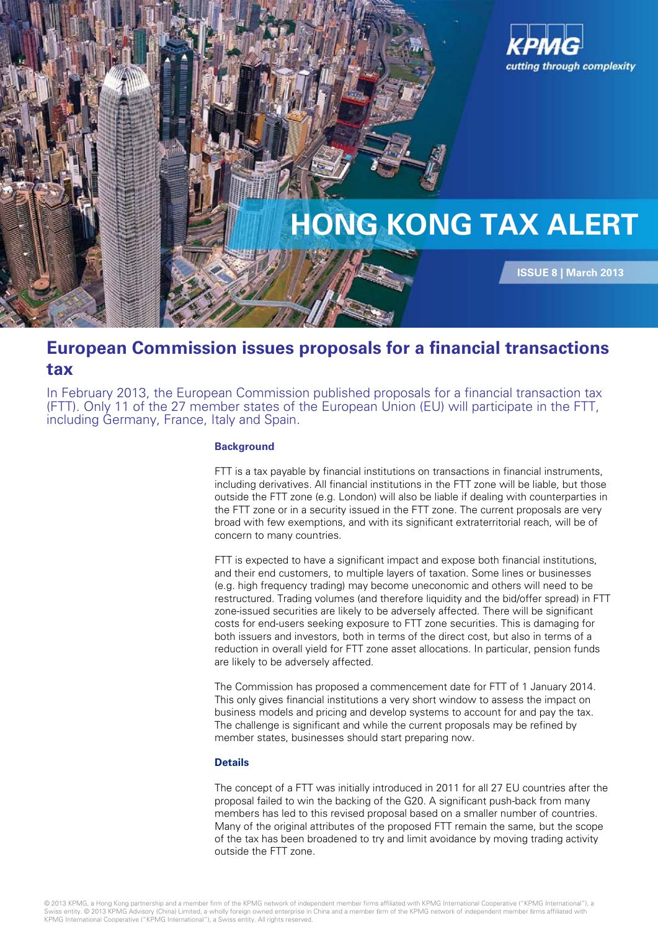

# **European Commission issues proposals for a financial transactions tax**

In February 2013, the European Commission published proposals for a financial transaction tax (FTT). Only 11 of the 27 member states of the European Union (EU) will participate in the FTT, including Germany, France, Italy and Spain.

#### **Background**

FTT is a tax payable by financial institutions on transactions in financial instruments, including derivatives. All financial institutions in the FTT zone will be liable, but those outside the FTT zone (e.g. London) will also be liable if dealing with counterparties in the FTT zone or in a security issued in the FTT zone. The current proposals are very broad with few exemptions, and with its significant extraterritorial reach, will be of concern to many countries.

FTT is expected to have a significant impact and expose both financial institutions, and their end customers, to multiple layers of taxation. Some lines or businesses (e.g. high frequency trading) may become uneconomic and others will need to be restructured. Trading volumes (and therefore liquidity and the bid/offer spread) in FTT zone-issued securities are likely to be adversely affected. There will be significant costs for end-users seeking exposure to FTT zone securities. This is damaging for both issuers and investors, both in terms of the direct cost, but also in terms of a reduction in overall yield for FTT zone asset allocations. In particular, pension funds are likely to be adversely affected.

The Commission has proposed a commencement date for FTT of 1 January 2014. This only gives financial institutions a very short window to assess the impact on business models and pricing and develop systems to account for and pay the tax. The challenge is significant and while the current proposals may be refined by member states, businesses should start preparing now.

### **Details**

The concept of a FTT was initially introduced in 2011 for all 27 EU countries after the proposal failed to win the backing of the G20. A significant push-back from many members has led to this revised proposal based on a smaller number of countries. Many of the original attributes of the proposed FTT remain the same, but the scope of the tax has been broadened to try and limit avoidance by moving trading activity outside the FTT zone.

© 2013 KPMG, a Hong Kong partnership and a member firm of the KPMG network of independent member firms affiliated with KPMG International Cooperative ("KPMG International"), a Swiss entity. © 2013 KPMG Advisory (China) Limited, a wholly foreign owned enterprise in China and a member firm of the KPMG network of independent member firms affiliated with<br>KPMG International Cooperative ("KPMG Interna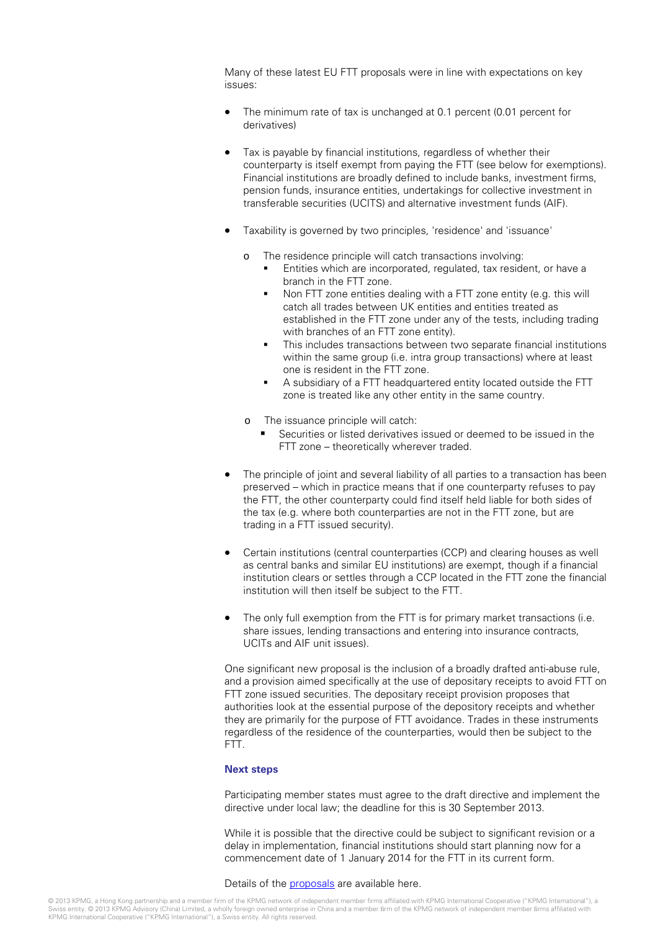Many of these latest EU FTT proposals were in line with expectations on key issues:

- The minimum rate of tax is unchanged at 0.1 percent (0.01 percent for derivatives)
- Tax is payable by financial institutions, regardless of whether their counterparty is itself exempt from paying the FTT (see below for exemptions). Financial institutions are broadly defined to include banks, investment firms, pension funds, insurance entities, undertakings for collective investment in transferable securities (UCITS) and alternative investment funds (AIF).
- Taxability is governed by two principles, 'residence' and 'issuance'
	- o The residence principle will catch transactions involving:
		- Entities which are incorporated, regulated, tax resident, or have a branch in the FTT zone.
		- Non FTT zone entities dealing with a FTT zone entity (e.g. this will catch all trades between UK entities and entities treated as established in the FTT zone under any of the tests, including trading with branches of an FTT zone entity).
		- This includes transactions between two separate financial institutions within the same group (i.e. intra group transactions) where at least one is resident in the FTT zone.
		- A subsidiary of a FTT headquartered entity located outside the FTT zone is treated like any other entity in the same country.
	- o The issuance principle will catch:
		- Securities or listed derivatives issued or deemed to be issued in the FTT zone – theoretically wherever traded.
- The principle of joint and several liability of all parties to a transaction has been preserved – which in practice means that if one counterparty refuses to pay the FTT, the other counterparty could find itself held liable for both sides of the tax (e.g. where both counterparties are not in the FTT zone, but are trading in a FTT issued security).
- Certain institutions (central counterparties (CCP) and clearing houses as well as central banks and similar EU institutions) are exempt, though if a financial institution clears or settles through a CCP located in the FTT zone the financial institution will then itself be subject to the FTT.
- The only full exemption from the FTT is for primary market transactions (i.e. share issues, lending transactions and entering into insurance contracts, UCITs and AIF unit issues).

One significant new proposal is the inclusion of a broadly drafted anti-abuse rule, and a provision aimed specifically at the use of depositary receipts to avoid FTT on FTT zone issued securities. The depositary receipt provision proposes that authorities look at the essential purpose of the depository receipts and whether they are primarily for the purpose of FTT avoidance. Trades in these instruments regardless of the residence of the counterparties, would then be subject to the FTT.

## **Next steps**

Participating member states must agree to the draft directive and implement the directive under local law; the deadline for this is 30 September 2013.

While it is possible that the directive could be subject to significant revision or a delay in implementation, financial institutions should start planning now for a commencement date of 1 January 2014 for the FTT in its current form.

#### Details of the [proposals](http://ec.europa.eu/taxation_customs/resources/documents/taxation/com_2013_71_en.pdf) are available here.

© 2013 KPMG, a Hong Kong partnership and a member firm of the KPMG network of independent member firms affiliated with KPMG International Cooperative ("KPMG International"), a<br>Swiss entity. © 2013 KPMG Advisory (China) Lim